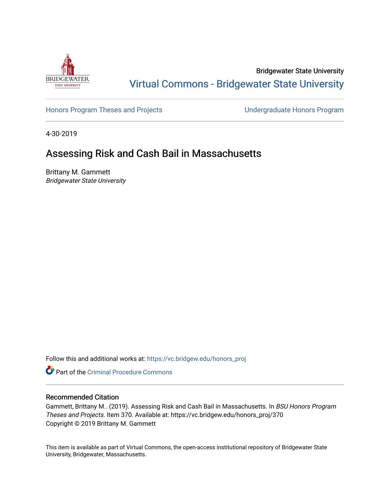

Bridgewater State University [Virtual Commons - Bridgewater State University](https://vc.bridgew.edu/) 

[Honors Program Theses and Projects](https://vc.bridgew.edu/honors_proj) [Undergraduate Honors Program](https://vc.bridgew.edu/honors) 

4-30-2019

# Assessing Risk and Cash Bail in Massachusetts

Brittany M. Gammett Bridgewater State University

Follow this and additional works at: [https://vc.bridgew.edu/honors\\_proj](https://vc.bridgew.edu/honors_proj?utm_source=vc.bridgew.edu%2Fhonors_proj%2F370&utm_medium=PDF&utm_campaign=PDFCoverPages)

**C** Part of the Criminal Procedure Commons

## Recommended Citation

Gammett, Brittany M.. (2019). Assessing Risk and Cash Bail in Massachusetts. In BSU Honors Program Theses and Projects. Item 370. Available at: https://vc.bridgew.edu/honors\_proj/370 Copyright © 2019 Brittany M. Gammett

This item is available as part of Virtual Commons, the open-access institutional repository of Bridgewater State University, Bridgewater, Massachusetts.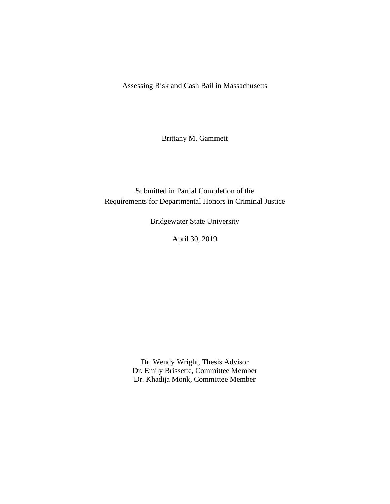Assessing Risk and Cash Bail in Massachusetts

Brittany M. Gammett

Submitted in Partial Completion of the Requirements for Departmental Honors in Criminal Justice

Bridgewater State University

April 30, 2019

Dr. Wendy Wright, Thesis Advisor Dr. Emily Brissette, Committee Member Dr. Khadija Monk, Committee Member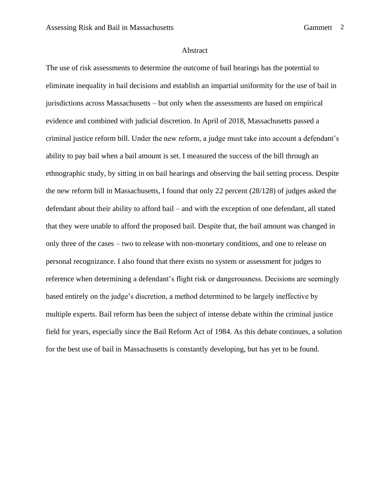#### Abstract

The use of risk assessments to determine the outcome of bail hearings has the potential to eliminate inequality in bail decisions and establish an impartial uniformity for the use of bail in jurisdictions across Massachusetts – but only when the assessments are based on empirical evidence and combined with judicial discretion. In April of 2018, Massachusetts passed a criminal justice reform bill. Under the new reform, a judge must take into account a defendant's ability to pay bail when a bail amount is set. I measured the success of the bill through an ethnographic study, by sitting in on bail hearings and observing the bail setting process. Despite the new reform bill in Massachusetts, I found that only 22 percent (28/128) of judges asked the defendant about their ability to afford bail – and with the exception of one defendant, all stated that they were unable to afford the proposed bail. Despite that, the bail amount was changed in only three of the cases – two to release with non-monetary conditions, and one to release on personal recognizance. I also found that there exists no system or assessment for judges to reference when determining a defendant's flight risk or dangerousness. Decisions are seemingly based entirely on the judge's discretion, a method determined to be largely ineffective by multiple experts. Bail reform has been the subject of intense debate within the criminal justice field for years, especially since the Bail Reform Act of 1984. As this debate continues, a solution for the best use of bail in Massachusetts is constantly developing, but has yet to be found.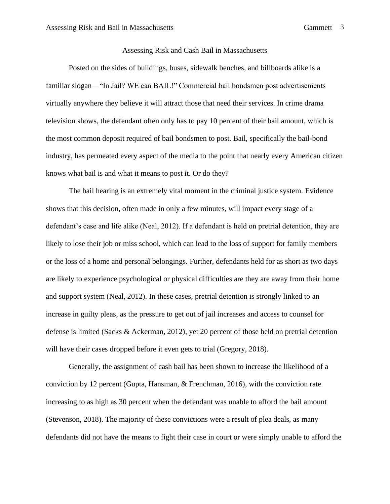## Assessing Risk and Cash Bail in Massachusetts

Posted on the sides of buildings, buses, sidewalk benches, and billboards alike is a familiar slogan – "In Jail? WE can BAIL!" Commercial bail bondsmen post advertisements virtually anywhere they believe it will attract those that need their services. In crime drama television shows, the defendant often only has to pay 10 percent of their bail amount, which is the most common deposit required of bail bondsmen to post. Bail, specifically the bail-bond industry, has permeated every aspect of the media to the point that nearly every American citizen knows what bail is and what it means to post it. Or do they?

The bail hearing is an extremely vital moment in the criminal justice system. Evidence shows that this decision, often made in only a few minutes, will impact every stage of a defendant's case and life alike (Neal, 2012). If a defendant is held on pretrial detention, they are likely to lose their job or miss school, which can lead to the loss of support for family members or the loss of a home and personal belongings. Further, defendants held for as short as two days are likely to experience psychological or physical difficulties are they are away from their home and support system (Neal, 2012). In these cases, pretrial detention is strongly linked to an increase in guilty pleas, as the pressure to get out of jail increases and access to counsel for defense is limited (Sacks & Ackerman, 2012), yet 20 percent of those held on pretrial detention will have their cases dropped before it even gets to trial (Gregory, 2018).

Generally, the assignment of cash bail has been shown to increase the likelihood of a conviction by 12 percent (Gupta, Hansman, & Frenchman, 2016), with the conviction rate increasing to as high as 30 percent when the defendant was unable to afford the bail amount (Stevenson, 2018). The majority of these convictions were a result of plea deals, as many defendants did not have the means to fight their case in court or were simply unable to afford the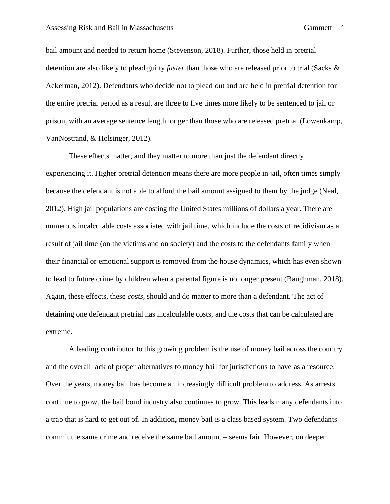bail amount and needed to return home (Stevenson, 2018). Further, those held in pretrial detention are also likely to plead guilty *faster* than those who are released prior to trial (Sacks & Ackerman, 2012). Defendants who decide not to plead out and are held in pretrial detention for the entire pretrial period as a result are three to five times more likely to be sentenced to jail or prison, with an average sentence length longer than those who are released pretrial (Lowenkamp,

VanNostrand, & Holsinger, 2012).

These effects matter, and they matter to more than just the defendant directly experiencing it. Higher pretrial detention means there are more people in jail, often times simply because the defendant is not able to afford the bail amount assigned to them by the judge (Neal, 2012). High jail populations are costing the United States millions of dollars a year. There are numerous incalculable costs associated with jail time, which include the costs of recidivism as a result of jail time (on the victims and on society) and the costs to the defendants family when their financial or emotional support is removed from the house dynamics, which has even shown to lead to future crime by children when a parental figure is no longer present (Baughman, 2018). Again, these effects, these *costs,* should and do matter to more than a defendant. The act of detaining one defendant pretrial has incalculable costs, and the costs that can be calculated are extreme.

A leading contributor to this growing problem is the use of money bail across the country and the overall lack of proper alternatives to money bail for jurisdictions to have as a resource. Over the years, money bail has become an increasingly difficult problem to address. As arrests continue to grow, the bail bond industry also continues to grow. This leads many defendants into a trap that is hard to get out of. In addition, money bail is a class based system. Two defendants commit the same crime and receive the same bail amount – seems fair. However, on deeper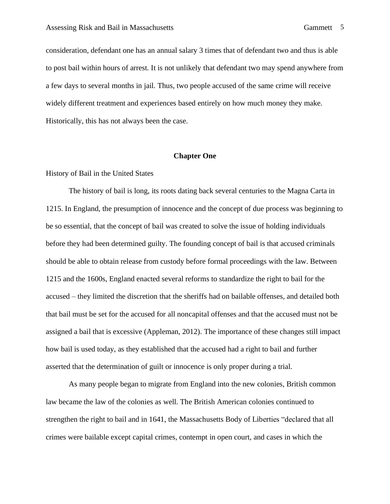consideration, defendant one has an annual salary 3 times that of defendant two and thus is able to post bail within hours of arrest. It is not unlikely that defendant two may spend anywhere from a few days to several months in jail. Thus, two people accused of the same crime will receive widely different treatment and experiences based entirely on how much money they make. Historically, this has not always been the case.

## **Chapter One**

## History of Bail in the United States

The history of bail is long, its roots dating back several centuries to the Magna Carta in 1215. In England, the presumption of innocence and the concept of due process was beginning to be so essential, that the concept of bail was created to solve the issue of holding individuals before they had been determined guilty. The founding concept of bail is that accused criminals should be able to obtain release from custody before formal proceedings with the law. Between 1215 and the 1600s, England enacted several reforms to standardize the right to bail for the accused – they limited the discretion that the sheriffs had on bailable offenses, and detailed both that bail must be set for the accused for all noncapital offenses and that the accused must not be assigned a bail that is excessive (Appleman, 2012). The importance of these changes still impact how bail is used today, as they established that the accused had a right to bail and further asserted that the determination of guilt or innocence is only proper during a trial.

As many people began to migrate from England into the new colonies, British common law became the law of the colonies as well. The British American colonies continued to strengthen the right to bail and in 1641, the Massachusetts Body of Liberties "declared that all crimes were bailable except capital crimes, contempt in open court, and cases in which the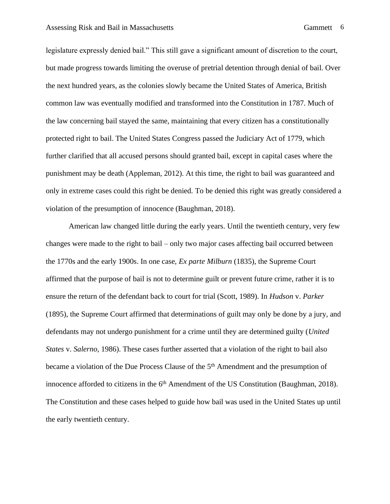legislature expressly denied bail." This still gave a significant amount of discretion to the court, but made progress towards limiting the overuse of pretrial detention through denial of bail. Over the next hundred years, as the colonies slowly became the United States of America, British common law was eventually modified and transformed into the Constitution in 1787. Much of the law concerning bail stayed the same, maintaining that every citizen has a constitutionally protected right to bail. The United States Congress passed the Judiciary Act of 1779, which further clarified that all accused persons should granted bail, except in capital cases where the punishment may be death (Appleman, 2012). At this time, the right to bail was guaranteed and only in extreme cases could this right be denied. To be denied this right was greatly considered a violation of the presumption of innocence (Baughman, 2018).

American law changed little during the early years. Until the twentieth century, very few changes were made to the right to bail – only two major cases affecting bail occurred between the 1770s and the early 1900s. In one case, *Ex parte Milburn* (1835), the Supreme Court affirmed that the purpose of bail is not to determine guilt or prevent future crime, rather it is to ensure the return of the defendant back to court for trial (Scott, 1989). In *Hudson* v. *Parker* (1895), the Supreme Court affirmed that determinations of guilt may only be done by a jury, and defendants may not undergo punishment for a crime until they are determined guilty (*United States* v. *Salerno*, 1986). These cases further asserted that a violation of the right to bail also became a violation of the Due Process Clause of the 5<sup>th</sup> Amendment and the presumption of innocence afforded to citizens in the  $6<sup>th</sup>$  Amendment of the US Constitution (Baughman, 2018). The Constitution and these cases helped to guide how bail was used in the United States up until the early twentieth century.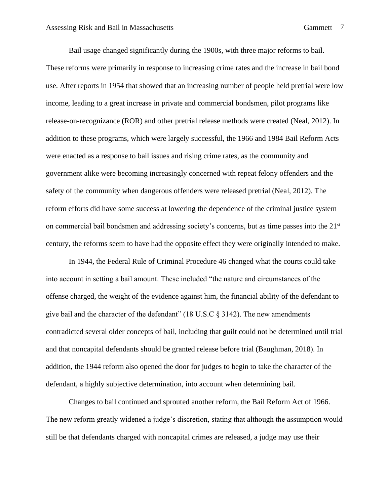Bail usage changed significantly during the 1900s, with three major reforms to bail. These reforms were primarily in response to increasing crime rates and the increase in bail bond use. After reports in 1954 that showed that an increasing number of people held pretrial were low income, leading to a great increase in private and commercial bondsmen, pilot programs like release-on-recognizance (ROR) and other pretrial release methods were created (Neal, 2012). In addition to these programs, which were largely successful, the 1966 and 1984 Bail Reform Acts were enacted as a response to bail issues and rising crime rates, as the community and government alike were becoming increasingly concerned with repeat felony offenders and the safety of the community when dangerous offenders were released pretrial (Neal, 2012). The reform efforts did have some success at lowering the dependence of the criminal justice system on commercial bail bondsmen and addressing society's concerns, but as time passes into the  $21<sup>st</sup>$ century, the reforms seem to have had the opposite effect they were originally intended to make.

In 1944, the Federal Rule of Criminal Procedure 46 changed what the courts could take into account in setting a bail amount. These included "the nature and circumstances of the offense charged, the weight of the evidence against him, the financial ability of the defendant to give bail and the character of the defendant" (18 U.S.C § 3142). The new amendments contradicted several older concepts of bail, including that guilt could not be determined until trial and that noncapital defendants should be granted release before trial (Baughman, 2018). In addition, the 1944 reform also opened the door for judges to begin to take the character of the defendant, a highly subjective determination, into account when determining bail.

Changes to bail continued and sprouted another reform, the Bail Reform Act of 1966. The new reform greatly widened a judge's discretion, stating that although the assumption would still be that defendants charged with noncapital crimes are released, a judge may use their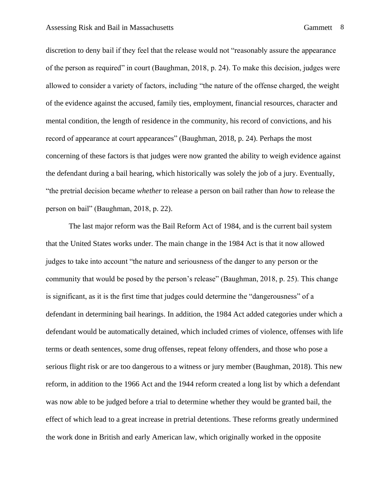discretion to deny bail if they feel that the release would not "reasonably assure the appearance of the person as required" in court (Baughman, 2018, p. 24). To make this decision, judges were allowed to consider a variety of factors, including "the nature of the offense charged, the weight of the evidence against the accused, family ties, employment, financial resources, character and mental condition, the length of residence in the community, his record of convictions, and his record of appearance at court appearances" (Baughman, 2018, p. 24). Perhaps the most concerning of these factors is that judges were now granted the ability to weigh evidence against the defendant during a bail hearing, which historically was solely the job of a jury. Eventually, "the pretrial decision became *whether* to release a person on bail rather than *how* to release the person on bail" (Baughman, 2018, p. 22).

The last major reform was the Bail Reform Act of 1984, and is the current bail system that the United States works under. The main change in the 1984 Act is that it now allowed judges to take into account "the nature and seriousness of the danger to any person or the community that would be posed by the person's release" (Baughman, 2018, p. 25). This change is significant, as it is the first time that judges could determine the "dangerousness" of a defendant in determining bail hearings. In addition, the 1984 Act added categories under which a defendant would be automatically detained, which included crimes of violence, offenses with life terms or death sentences, some drug offenses, repeat felony offenders, and those who pose a serious flight risk or are too dangerous to a witness or jury member (Baughman, 2018). This new reform, in addition to the 1966 Act and the 1944 reform created a long list by which a defendant was now able to be judged before a trial to determine whether they would be granted bail, the effect of which lead to a great increase in pretrial detentions. These reforms greatly undermined the work done in British and early American law, which originally worked in the opposite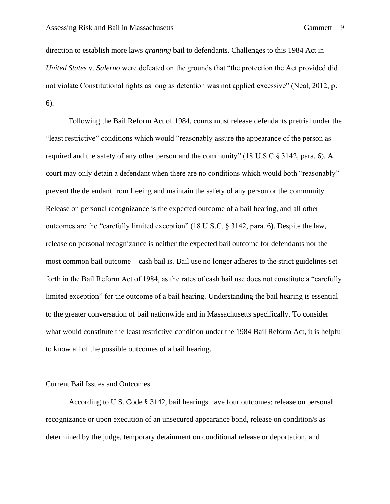direction to establish more laws *granting* bail to defendants. Challenges to this 1984 Act in *United States* v. *Salerno* were defeated on the grounds that "the protection the Act provided did not violate Constitutional rights as long as detention was not applied excessive" (Neal, 2012, p. 6).

Following the Bail Reform Act of 1984, courts must release defendants pretrial under the "least restrictive" conditions which would "reasonably assure the appearance of the person as required and the safety of any other person and the community" (18 U.S.C § 3142, para. 6). A court may only detain a defendant when there are no conditions which would both "reasonably" prevent the defendant from fleeing and maintain the safety of any person or the community. Release on personal recognizance is the expected outcome of a bail hearing, and all other outcomes are the "carefully limited exception" (18 U.S.C. § 3142, para. 6). Despite the law, release on personal recognizance is neither the expected bail outcome for defendants nor the most common bail outcome – cash bail is. Bail use no longer adheres to the strict guidelines set forth in the Bail Reform Act of 1984, as the rates of cash bail use does not constitute a "carefully limited exception" for the outcome of a bail hearing. Understanding the bail hearing is essential to the greater conversation of bail nationwide and in Massachusetts specifically. To consider what would constitute the least restrictive condition under the 1984 Bail Reform Act, it is helpful to know all of the possible outcomes of a bail hearing.

#### Current Bail Issues and Outcomes

According to U.S. Code § 3142, bail hearings have four outcomes: release on personal recognizance or upon execution of an unsecured appearance bond, release on condition/s as determined by the judge, temporary detainment on conditional release or deportation, and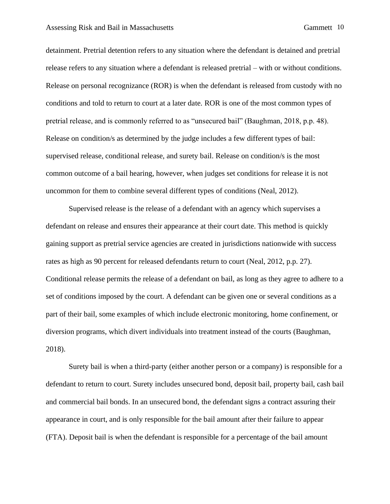detainment. Pretrial detention refers to any situation where the defendant is detained and pretrial release refers to any situation where a defendant is released pretrial – with or without conditions. Release on personal recognizance (ROR) is when the defendant is released from custody with no conditions and told to return to court at a later date. ROR is one of the most common types of pretrial release, and is commonly referred to as "unsecured bail" (Baughman, 2018, p.p. 48). Release on condition/s as determined by the judge includes a few different types of bail: supervised release, conditional release, and surety bail. Release on condition/s is the most common outcome of a bail hearing, however, when judges set conditions for release it is not uncommon for them to combine several different types of conditions (Neal, 2012).

Supervised release is the release of a defendant with an agency which supervises a defendant on release and ensures their appearance at their court date. This method is quickly gaining support as pretrial service agencies are created in jurisdictions nationwide with success rates as high as 90 percent for released defendants return to court (Neal, 2012, p.p. 27). Conditional release permits the release of a defendant on bail, as long as they agree to adhere to a set of conditions imposed by the court. A defendant can be given one or several conditions as a part of their bail, some examples of which include electronic monitoring, home confinement, or diversion programs, which divert individuals into treatment instead of the courts (Baughman, 2018).

Surety bail is when a third-party (either another person or a company) is responsible for a defendant to return to court. Surety includes unsecured bond, deposit bail, property bail, cash bail and commercial bail bonds. In an unsecured bond, the defendant signs a contract assuring their appearance in court, and is only responsible for the bail amount after their failure to appear (FTA). Deposit bail is when the defendant is responsible for a percentage of the bail amount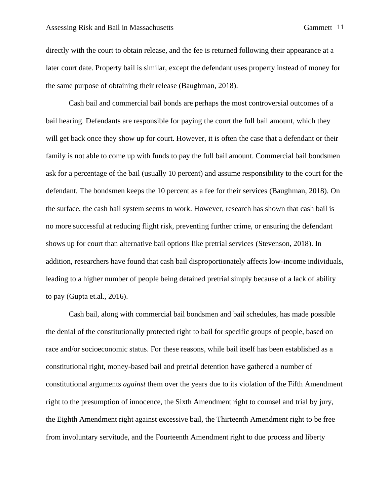directly with the court to obtain release, and the fee is returned following their appearance at a later court date. Property bail is similar, except the defendant uses property instead of money for the same purpose of obtaining their release (Baughman, 2018).

Cash bail and commercial bail bonds are perhaps the most controversial outcomes of a bail hearing. Defendants are responsible for paying the court the full bail amount, which they will get back once they show up for court. However, it is often the case that a defendant or their family is not able to come up with funds to pay the full bail amount. Commercial bail bondsmen ask for a percentage of the bail (usually 10 percent) and assume responsibility to the court for the defendant. The bondsmen keeps the 10 percent as a fee for their services (Baughman, 2018). On the surface, the cash bail system seems to work. However, research has shown that cash bail is no more successful at reducing flight risk, preventing further crime, or ensuring the defendant shows up for court than alternative bail options like pretrial services (Stevenson, 2018). In addition, researchers have found that cash bail disproportionately affects low-income individuals, leading to a higher number of people being detained pretrial simply because of a lack of ability to pay (Gupta et.al., 2016).

Cash bail, along with commercial bail bondsmen and bail schedules, has made possible the denial of the constitutionally protected right to bail for specific groups of people, based on race and/or socioeconomic status. For these reasons, while bail itself has been established as a constitutional right, money-based bail and pretrial detention have gathered a number of constitutional arguments *against* them over the years due to its violation of the Fifth Amendment right to the presumption of innocence, the Sixth Amendment right to counsel and trial by jury, the Eighth Amendment right against excessive bail, the Thirteenth Amendment right to be free from involuntary servitude, and the Fourteenth Amendment right to due process and liberty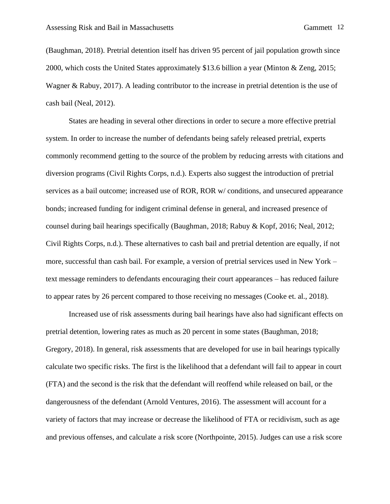(Baughman, 2018). Pretrial detention itself has driven 95 percent of jail population growth since 2000, which costs the United States approximately \$13.6 billion a year (Minton & Zeng, 2015; Wagner & Rabuy, 2017). A leading contributor to the increase in pretrial detention is the use of cash bail (Neal, 2012).

States are heading in several other directions in order to secure a more effective pretrial system. In order to increase the number of defendants being safely released pretrial, experts commonly recommend getting to the source of the problem by reducing arrests with citations and diversion programs (Civil Rights Corps, n.d.). Experts also suggest the introduction of pretrial services as a bail outcome; increased use of ROR, ROR w/ conditions, and unsecured appearance bonds; increased funding for indigent criminal defense in general, and increased presence of counsel during bail hearings specifically (Baughman, 2018; Rabuy & Kopf, 2016; Neal, 2012; Civil Rights Corps, n.d.). These alternatives to cash bail and pretrial detention are equally, if not more, successful than cash bail. For example, a version of pretrial services used in New York – text message reminders to defendants encouraging their court appearances – has reduced failure to appear rates by 26 percent compared to those receiving no messages (Cooke et. al., 2018).

Increased use of risk assessments during bail hearings have also had significant effects on pretrial detention, lowering rates as much as 20 percent in some states (Baughman, 2018; Gregory, 2018). In general, risk assessments that are developed for use in bail hearings typically calculate two specific risks. The first is the likelihood that a defendant will fail to appear in court (FTA) and the second is the risk that the defendant will reoffend while released on bail, or the dangerousness of the defendant (Arnold Ventures, 2016). The assessment will account for a variety of factors that may increase or decrease the likelihood of FTA or recidivism, such as age and previous offenses, and calculate a risk score (Northpointe, 2015). Judges can use a risk score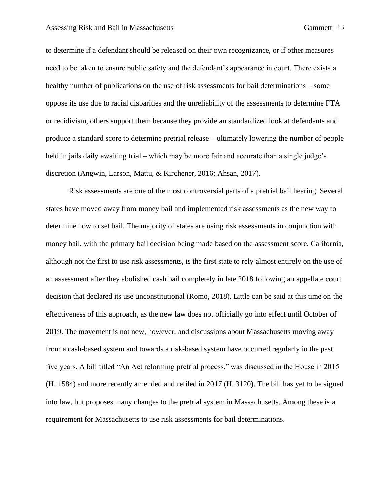to determine if a defendant should be released on their own recognizance, or if other measures need to be taken to ensure public safety and the defendant's appearance in court. There exists a healthy number of publications on the use of risk assessments for bail determinations – some oppose its use due to racial disparities and the unreliability of the assessments to determine FTA or recidivism, others support them because they provide an standardized look at defendants and produce a standard score to determine pretrial release – ultimately lowering the number of people held in jails daily awaiting trial – which may be more fair and accurate than a single judge's discretion (Angwin, Larson, Mattu, & Kirchener, 2016; Ahsan, 2017).

Risk assessments are one of the most controversial parts of a pretrial bail hearing. Several states have moved away from money bail and implemented risk assessments as the new way to determine how to set bail. The majority of states are using risk assessments in conjunction with money bail, with the primary bail decision being made based on the assessment score. California, although not the first to use risk assessments, is the first state to rely almost entirely on the use of an assessment after they abolished cash bail completely in late 2018 following an appellate court decision that declared its use unconstitutional (Romo, 2018). Little can be said at this time on the effectiveness of this approach, as the new law does not officially go into effect until October of 2019. The movement is not new, however, and discussions about Massachusetts moving away from a cash-based system and towards a risk-based system have occurred regularly in the past five years. A bill titled "An Act reforming pretrial process," was discussed in the House in 2015 (H. 1584) and more recently amended and refiled in 2017 (H. 3120). The bill has yet to be signed into law, but proposes many changes to the pretrial system in Massachusetts. Among these is a requirement for Massachusetts to use risk assessments for bail determinations.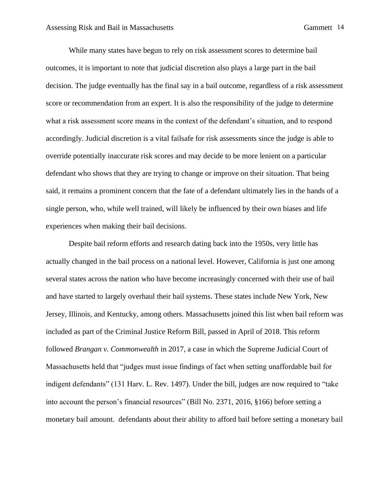While many states have begun to rely on risk assessment scores to determine bail outcomes, it is important to note that judicial discretion also plays a large part in the bail decision. The judge eventually has the final say in a bail outcome, regardless of a risk assessment score or recommendation from an expert. It is also the responsibility of the judge to determine what a risk assessment score means in the context of the defendant's situation, and to respond accordingly. Judicial discretion is a vital failsafe for risk assessments since the judge is able to override potentially inaccurate risk scores and may decide to be more lenient on a particular defendant who shows that they are trying to change or improve on their situation. That being said, it remains a prominent concern that the fate of a defendant ultimately lies in the hands of a single person, who, while well trained, will likely be influenced by their own biases and life experiences when making their bail decisions.

Despite bail reform efforts and research dating back into the 1950s, very little has actually changed in the bail process on a national level. However, California is just one among several states across the nation who have become increasingly concerned with their use of bail and have started to largely overhaul their bail systems. These states include New York, New Jersey, Illinois, and Kentucky, among others. Massachusetts joined this list when bail reform was included as part of the Criminal Justice Reform Bill, passed in April of 2018. This reform followed *Brangan v. Commonwealth* in 2017, a case in which the Supreme Judicial Court of Massachusetts held that "judges must issue findings of fact when setting unaffordable bail for indigent defendants" (131 Harv. L. Rev. 1497). Under the bill, judges are now required to "take into account the person's financial resources" (Bill No. 2371, 2016, §166) before setting a monetary bail amount. defendants about their ability to afford bail before setting a monetary bail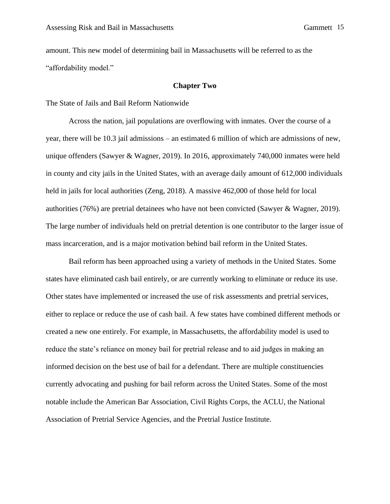amount. This new model of determining bail in Massachusetts will be referred to as the "affordability model."

#### **Chapter Two**

The State of Jails and Bail Reform Nationwide

Across the nation, jail populations are overflowing with inmates. Over the course of a year, there will be 10.3 jail admissions – an estimated 6 million of which are admissions of new, unique offenders (Sawyer & Wagner, 2019). In 2016, approximately 740,000 inmates were held in county and city jails in the United States, with an average daily amount of 612,000 individuals held in jails for local authorities (Zeng, 2018). A massive 462,000 of those held for local authorities (76%) are pretrial detainees who have not been convicted (Sawyer & Wagner, 2019). The large number of individuals held on pretrial detention is one contributor to the larger issue of mass incarceration, and is a major motivation behind bail reform in the United States.

Bail reform has been approached using a variety of methods in the United States. Some states have eliminated cash bail entirely, or are currently working to eliminate or reduce its use. Other states have implemented or increased the use of risk assessments and pretrial services, either to replace or reduce the use of cash bail. A few states have combined different methods or created a new one entirely. For example, in Massachusetts, the affordability model is used to reduce the state's reliance on money bail for pretrial release and to aid judges in making an informed decision on the best use of bail for a defendant. There are multiple constituencies currently advocating and pushing for bail reform across the United States. Some of the most notable include the American Bar Association, Civil Rights Corps, the ACLU, the National Association of Pretrial Service Agencies, and the Pretrial Justice Institute.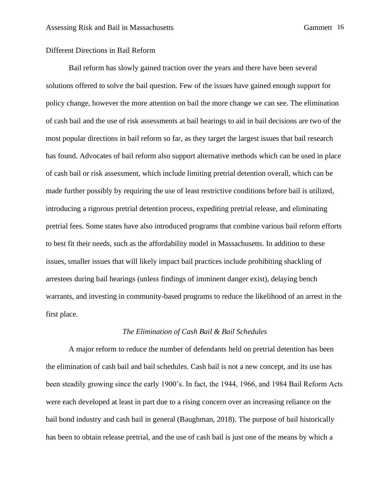## Different Directions in Bail Reform

Bail reform has slowly gained traction over the years and there have been several solutions offered to solve the bail question. Few of the issues have gained enough support for policy change, however the more attention on bail the more change we can see. The elimination of cash bail and the use of risk assessments at bail hearings to aid in bail decisions are two of the most popular directions in bail reform so far, as they target the largest issues that bail research has found. Advocates of bail reform also support alternative methods which can be used in place of cash bail or risk assessment, which include limiting pretrial detention overall, which can be made further possibly by requiring the use of least restrictive conditions before bail is utilized, introducing a rigorous pretrial detention process, expediting pretrial release, and eliminating pretrial fees. Some states have also introduced programs that combine various bail reform efforts to best fit their needs, such as the affordability model in Massachusetts. In addition to these issues, smaller issues that will likely impact bail practices include prohibiting shackling of arrestees during bail hearings (unless findings of imminent danger exist), delaying bench warrants, and investing in community-based programs to reduce the likelihood of an arrest in the first place.

#### *The Elimination of Cash Bail & Bail Schedules*

A major reform to reduce the number of defendants held on pretrial detention has been the elimination of cash bail and bail schedules. Cash bail is not a new concept, and its use has been steadily growing since the early 1900's. In fact, the 1944, 1966, and 1984 Bail Reform Acts were each developed at least in part due to a rising concern over an increasing reliance on the bail bond industry and cash bail in general (Baughman, 2018). The purpose of bail historically has been to obtain release pretrial, and the use of cash bail is just one of the means by which a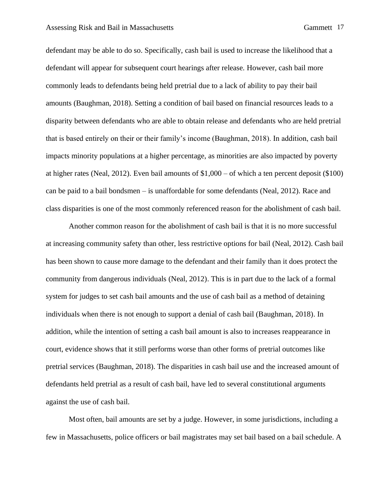defendant may be able to do so. Specifically, cash bail is used to increase the likelihood that a defendant will appear for subsequent court hearings after release. However, cash bail more commonly leads to defendants being held pretrial due to a lack of ability to pay their bail amounts (Baughman, 2018). Setting a condition of bail based on financial resources leads to a disparity between defendants who are able to obtain release and defendants who are held pretrial that is based entirely on their or their family's income (Baughman, 2018). In addition, cash bail impacts minority populations at a higher percentage, as minorities are also impacted by poverty at higher rates (Neal, 2012). Even bail amounts of \$1,000 – of which a ten percent deposit (\$100) can be paid to a bail bondsmen – is unaffordable for some defendants (Neal, 2012). Race and class disparities is one of the most commonly referenced reason for the abolishment of cash bail.

Another common reason for the abolishment of cash bail is that it is no more successful at increasing community safety than other, less restrictive options for bail (Neal, 2012). Cash bail has been shown to cause more damage to the defendant and their family than it does protect the community from dangerous individuals (Neal, 2012). This is in part due to the lack of a formal system for judges to set cash bail amounts and the use of cash bail as a method of detaining individuals when there is not enough to support a denial of cash bail (Baughman, 2018). In addition, while the intention of setting a cash bail amount is also to increases reappearance in court, evidence shows that it still performs worse than other forms of pretrial outcomes like pretrial services (Baughman, 2018). The disparities in cash bail use and the increased amount of defendants held pretrial as a result of cash bail, have led to several constitutional arguments against the use of cash bail.

Most often, bail amounts are set by a judge. However, in some jurisdictions, including a few in Massachusetts, police officers or bail magistrates may set bail based on a bail schedule. A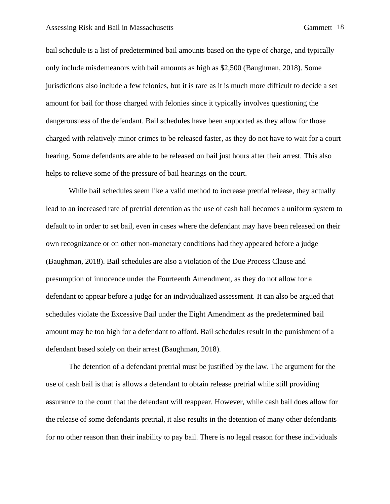#### Assessing Risk and Bail in Massachusetts Gammett 18

bail schedule is a list of predetermined bail amounts based on the type of charge, and typically only include misdemeanors with bail amounts as high as \$2,500 (Baughman, 2018). Some jurisdictions also include a few felonies, but it is rare as it is much more difficult to decide a set amount for bail for those charged with felonies since it typically involves questioning the dangerousness of the defendant. Bail schedules have been supported as they allow for those charged with relatively minor crimes to be released faster, as they do not have to wait for a court hearing. Some defendants are able to be released on bail just hours after their arrest. This also helps to relieve some of the pressure of bail hearings on the court.

While bail schedules seem like a valid method to increase pretrial release, they actually lead to an increased rate of pretrial detention as the use of cash bail becomes a uniform system to default to in order to set bail, even in cases where the defendant may have been released on their own recognizance or on other non-monetary conditions had they appeared before a judge (Baughman, 2018). Bail schedules are also a violation of the Due Process Clause and presumption of innocence under the Fourteenth Amendment, as they do not allow for a defendant to appear before a judge for an individualized assessment. It can also be argued that schedules violate the Excessive Bail under the Eight Amendment as the predetermined bail amount may be too high for a defendant to afford. Bail schedules result in the punishment of a defendant based solely on their arrest (Baughman, 2018).

The detention of a defendant pretrial must be justified by the law. The argument for the use of cash bail is that is allows a defendant to obtain release pretrial while still providing assurance to the court that the defendant will reappear. However, while cash bail does allow for the release of some defendants pretrial, it also results in the detention of many other defendants for no other reason than their inability to pay bail. There is no legal reason for these individuals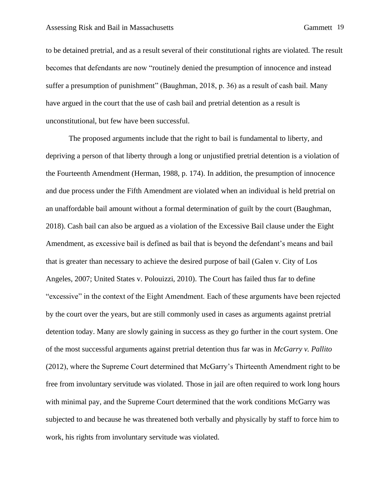to be detained pretrial, and as a result several of their constitutional rights are violated. The result becomes that defendants are now "routinely denied the presumption of innocence and instead suffer a presumption of punishment" (Baughman, 2018, p. 36) as a result of cash bail. Many have argued in the court that the use of cash bail and pretrial detention as a result is unconstitutional, but few have been successful.

The proposed arguments include that the right to bail is fundamental to liberty, and depriving a person of that liberty through a long or unjustified pretrial detention is a violation of the Fourteenth Amendment (Herman, 1988, p. 174). In addition, the presumption of innocence and due process under the Fifth Amendment are violated when an individual is held pretrial on an unaffordable bail amount without a formal determination of guilt by the court (Baughman, 2018). Cash bail can also be argued as a violation of the Excessive Bail clause under the Eight Amendment, as excessive bail is defined as bail that is beyond the defendant's means and bail that is greater than necessary to achieve the desired purpose of bail (Galen v. City of Los Angeles, 2007; United States v. Polouizzi, 2010). The Court has failed thus far to define "excessive" in the context of the Eight Amendment. Each of these arguments have been rejected by the court over the years, but are still commonly used in cases as arguments against pretrial detention today. Many are slowly gaining in success as they go further in the court system. One of the most successful arguments against pretrial detention thus far was in *McGarry v. Pallito*  (2012), where the Supreme Court determined that McGarry's Thirteenth Amendment right to be free from involuntary servitude was violated. Those in jail are often required to work long hours with minimal pay, and the Supreme Court determined that the work conditions McGarry was subjected to and because he was threatened both verbally and physically by staff to force him to work, his rights from involuntary servitude was violated.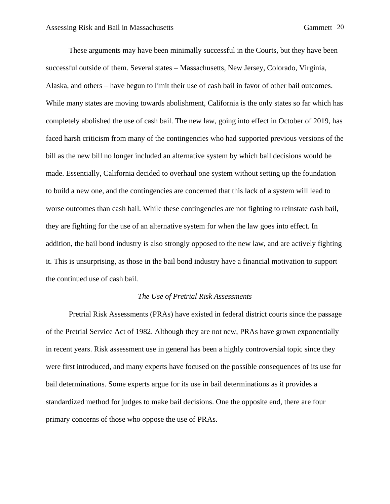These arguments may have been minimally successful in the Courts, but they have been successful outside of them. Several states – Massachusetts, New Jersey, Colorado, Virginia, Alaska, and others – have begun to limit their use of cash bail in favor of other bail outcomes. While many states are moving towards abolishment, California is the only states so far which has completely abolished the use of cash bail. The new law, going into effect in October of 2019, has faced harsh criticism from many of the contingencies who had supported previous versions of the bill as the new bill no longer included an alternative system by which bail decisions would be made. Essentially, California decided to overhaul one system without setting up the foundation to build a new one, and the contingencies are concerned that this lack of a system will lead to worse outcomes than cash bail. While these contingencies are not fighting to reinstate cash bail, they are fighting for the use of an alternative system for when the law goes into effect. In addition, the bail bond industry is also strongly opposed to the new law, and are actively fighting it. This is unsurprising, as those in the bail bond industry have a financial motivation to support the continued use of cash bail.

#### *The Use of Pretrial Risk Assessments*

Pretrial Risk Assessments (PRAs) have existed in federal district courts since the passage of the Pretrial Service Act of 1982. Although they are not new, PRAs have grown exponentially in recent years. Risk assessment use in general has been a highly controversial topic since they were first introduced, and many experts have focused on the possible consequences of its use for bail determinations. Some experts argue for its use in bail determinations as it provides a standardized method for judges to make bail decisions. One the opposite end, there are four primary concerns of those who oppose the use of PRAs.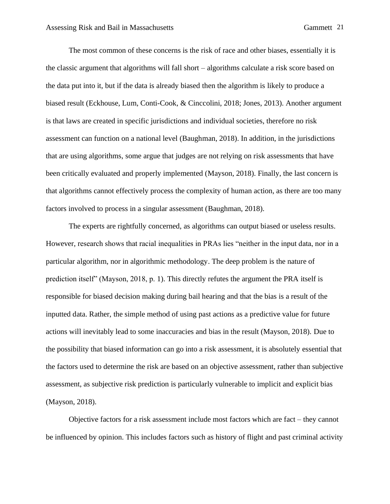The most common of these concerns is the risk of race and other biases, essentially it is the classic argument that algorithms will fall short – algorithms calculate a risk score based on the data put into it, but if the data is already biased then the algorithm is likely to produce a biased result (Eckhouse, Lum, Conti-Cook, & Cinccolini, 2018; Jones, 2013). Another argument is that laws are created in specific jurisdictions and individual societies, therefore no risk assessment can function on a national level (Baughman, 2018). In addition, in the jurisdictions that are using algorithms, some argue that judges are not relying on risk assessments that have been critically evaluated and properly implemented (Mayson, 2018). Finally, the last concern is that algorithms cannot effectively process the complexity of human action, as there are too many factors involved to process in a singular assessment (Baughman, 2018).

The experts are rightfully concerned, as algorithms can output biased or useless results. However, research shows that racial inequalities in PRAs lies "neither in the input data, nor in a particular algorithm, nor in algorithmic methodology. The deep problem is the nature of prediction itself" (Mayson, 2018, p. 1). This directly refutes the argument the PRA itself is responsible for biased decision making during bail hearing and that the bias is a result of the inputted data. Rather, the simple method of using past actions as a predictive value for future actions will inevitably lead to some inaccuracies and bias in the result (Mayson, 2018). Due to the possibility that biased information can go into a risk assessment, it is absolutely essential that the factors used to determine the risk are based on an objective assessment, rather than subjective assessment, as subjective risk prediction is particularly vulnerable to implicit and explicit bias (Mayson, 2018).

Objective factors for a risk assessment include most factors which are fact – they cannot be influenced by opinion. This includes factors such as history of flight and past criminal activity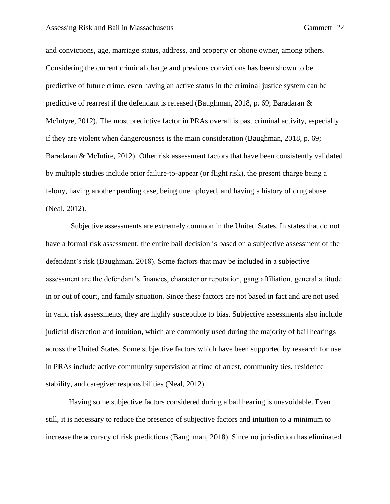and convictions, age, marriage status, address, and property or phone owner, among others. Considering the current criminal charge and previous convictions has been shown to be predictive of future crime, even having an active status in the criminal justice system can be predictive of rearrest if the defendant is released (Baughman, 2018, p. 69; Baradaran & McIntyre, 2012). The most predictive factor in PRAs overall is past criminal activity, especially if they are violent when dangerousness is the main consideration (Baughman, 2018, p. 69; Baradaran & McIntire, 2012). Other risk assessment factors that have been consistently validated by multiple studies include prior failure-to-appear (or flight risk), the present charge being a felony, having another pending case, being unemployed, and having a history of drug abuse (Neal, 2012).

Subjective assessments are extremely common in the United States. In states that do not have a formal risk assessment, the entire bail decision is based on a subjective assessment of the defendant's risk (Baughman, 2018). Some factors that may be included in a subjective assessment are the defendant's finances, character or reputation, gang affiliation, general attitude in or out of court, and family situation. Since these factors are not based in fact and are not used in valid risk assessments, they are highly susceptible to bias. Subjective assessments also include judicial discretion and intuition, which are commonly used during the majority of bail hearings across the United States. Some subjective factors which have been supported by research for use in PRAs include active community supervision at time of arrest, community ties, residence stability, and caregiver responsibilities (Neal, 2012).

Having some subjective factors considered during a bail hearing is unavoidable. Even still, it is necessary to reduce the presence of subjective factors and intuition to a minimum to increase the accuracy of risk predictions (Baughman, 2018). Since no jurisdiction has eliminated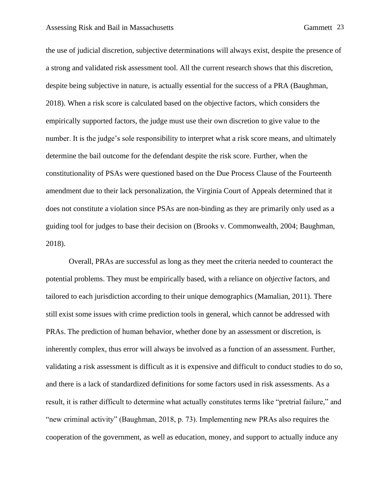the use of judicial discretion, subjective determinations will always exist, despite the presence of a strong and validated risk assessment tool. All the current research shows that this discretion, despite being subjective in nature, is actually essential for the success of a PRA (Baughman, 2018). When a risk score is calculated based on the objective factors, which considers the empirically supported factors, the judge must use their own discretion to give value to the number. It is the judge's sole responsibility to interpret what a risk score means, and ultimately determine the bail outcome for the defendant despite the risk score. Further, when the constitutionality of PSAs were questioned based on the Due Process Clause of the Fourteenth amendment due to their lack personalization, the Virginia Court of Appeals determined that it does not constitute a violation since PSAs are non-binding as they are primarily only used as a guiding tool for judges to base their decision on (Brooks v. Commonwealth, 2004; Baughman, 2018).

Overall, PRAs are successful as long as they meet the criteria needed to counteract the potential problems. They must be empirically based, with a reliance on *objective* factors, and tailored to each jurisdiction according to their unique demographics (Mamalian, 2011). There still exist some issues with crime prediction tools in general, which cannot be addressed with PRAs. The prediction of human behavior, whether done by an assessment or discretion, is inherently complex, thus error will always be involved as a function of an assessment. Further, validating a risk assessment is difficult as it is expensive and difficult to conduct studies to do so, and there is a lack of standardized definitions for some factors used in risk assessments. As a result, it is rather difficult to determine what actually constitutes terms like "pretrial failure," and "new criminal activity" (Baughman, 2018, p. 73). Implementing new PRAs also requires the cooperation of the government, as well as education, money, and support to actually induce any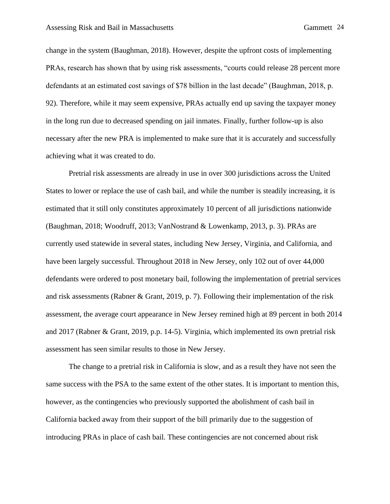change in the system (Baughman, 2018). However, despite the upfront costs of implementing PRAs, research has shown that by using risk assessments, "courts could release 28 percent more defendants at an estimated cost savings of \$78 billion in the last decade" (Baughman, 2018, p. 92). Therefore, while it may seem expensive, PRAs actually end up saving the taxpayer money in the long run due to decreased spending on jail inmates. Finally, further follow-up is also necessary after the new PRA is implemented to make sure that it is accurately and successfully achieving what it was created to do.

Pretrial risk assessments are already in use in over 300 jurisdictions across the United States to lower or replace the use of cash bail, and while the number is steadily increasing, it is estimated that it still only constitutes approximately 10 percent of all jurisdictions nationwide (Baughman, 2018; Woodruff, 2013; VanNostrand & Lowenkamp, 2013, p. 3). PRAs are currently used statewide in several states, including New Jersey, Virginia, and California, and have been largely successful. Throughout 2018 in New Jersey, only 102 out of over 44,000 defendants were ordered to post monetary bail, following the implementation of pretrial services and risk assessments (Rabner & Grant, 2019, p. 7). Following their implementation of the risk assessment, the average court appearance in New Jersey remined high at 89 percent in both 2014 and 2017 (Rabner & Grant, 2019, p.p. 14-5). Virginia, which implemented its own pretrial risk assessment has seen similar results to those in New Jersey.

The change to a pretrial risk in California is slow, and as a result they have not seen the same success with the PSA to the same extent of the other states. It is important to mention this, however, as the contingencies who previously supported the abolishment of cash bail in California backed away from their support of the bill primarily due to the suggestion of introducing PRAs in place of cash bail. These contingencies are not concerned about risk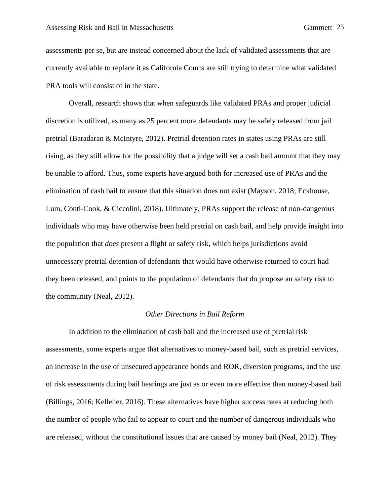assessments per se, but are instead concerned about the lack of validated assessments that are currently available to replace it as California Courts are still trying to determine what validated PRA tools will consist of in the state.

Overall, research shows that when safeguards like validated PRAs and proper judicial discretion is utilized, as many as 25 percent more defendants may be safely released from jail pretrial (Baradaran & McIntyre, 2012). Pretrial detention rates in states using PRAs are still rising, as they still allow for the possibility that a judge will set a cash bail amount that they may be unable to afford. Thus, some experts have argued both for increased use of PRAs and the elimination of cash bail to ensure that this situation does not exist (Mayson, 2018; Eckhouse, Lum, Conti-Cook, & Ciccolini, 2018). Ultimately, PRAs support the release of non-dangerous individuals who may have otherwise been held pretrial on cash bail, and help provide insight into the population that *does* present a flight or safety risk, which helps jurisdictions avoid unnecessary pretrial detention of defendants that would have otherwise returned to court had they been released, and points to the population of defendants that do propose an safety risk to the community (Neal, 2012).

#### *Other Directions in Bail Reform*

In addition to the elimination of cash bail and the increased use of pretrial risk assessments, some experts argue that alternatives to money-based bail, such as pretrial services, an increase in the use of unsecured appearance bonds and ROR, diversion programs, and the use of risk assessments during bail hearings are just as or even more effective than money-based bail (Billings, 2016; Kelleher, 2016). These alternatives have higher success rates at reducing both the number of people who fail to appear to court and the number of dangerous individuals who are released, without the constitutional issues that are caused by money bail (Neal, 2012). They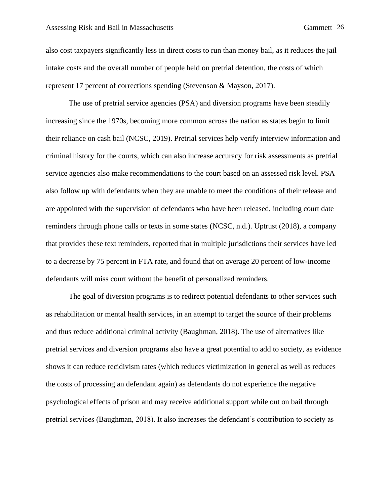#### Assessing Risk and Bail in Massachusetts Gammett 26

also cost taxpayers significantly less in direct costs to run than money bail, as it reduces the jail intake costs and the overall number of people held on pretrial detention, the costs of which represent 17 percent of corrections spending (Stevenson & Mayson, 2017).

The use of pretrial service agencies (PSA) and diversion programs have been steadily increasing since the 1970s, becoming more common across the nation as states begin to limit their reliance on cash bail (NCSC, 2019). Pretrial services help verify interview information and criminal history for the courts, which can also increase accuracy for risk assessments as pretrial service agencies also make recommendations to the court based on an assessed risk level. PSA also follow up with defendants when they are unable to meet the conditions of their release and are appointed with the supervision of defendants who have been released, including court date reminders through phone calls or texts in some states (NCSC, n.d.). Uptrust (2018), a company that provides these text reminders, reported that in multiple jurisdictions their services have led to a decrease by 75 percent in FTA rate, and found that on average 20 percent of low-income defendants will miss court without the benefit of personalized reminders.

The goal of diversion programs is to redirect potential defendants to other services such as rehabilitation or mental health services, in an attempt to target the source of their problems and thus reduce additional criminal activity (Baughman, 2018). The use of alternatives like pretrial services and diversion programs also have a great potential to add to society, as evidence shows it can reduce recidivism rates (which reduces victimization in general as well as reduces the costs of processing an defendant again) as defendants do not experience the negative psychological effects of prison and may receive additional support while out on bail through pretrial services (Baughman, 2018). It also increases the defendant's contribution to society as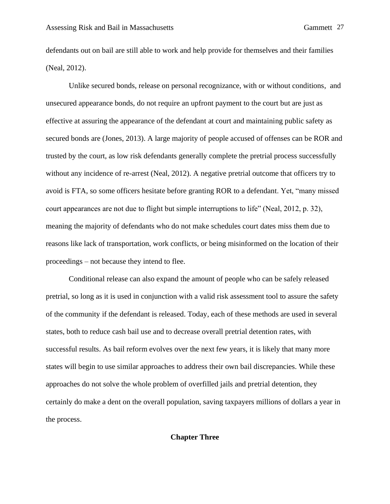defendants out on bail are still able to work and help provide for themselves and their families (Neal, 2012).

Unlike secured bonds, release on personal recognizance, with or without conditions, and unsecured appearance bonds, do not require an upfront payment to the court but are just as effective at assuring the appearance of the defendant at court and maintaining public safety as secured bonds are (Jones, 2013). A large majority of people accused of offenses can be ROR and trusted by the court, as low risk defendants generally complete the pretrial process successfully without any incidence of re-arrest (Neal, 2012). A negative pretrial outcome that officers try to avoid is FTA, so some officers hesitate before granting ROR to a defendant. Yet, "many missed court appearances are not due to flight but simple interruptions to life" (Neal, 2012, p. 32), meaning the majority of defendants who do not make schedules court dates miss them due to reasons like lack of transportation, work conflicts, or being misinformed on the location of their proceedings – not because they intend to flee.

Conditional release can also expand the amount of people who can be safely released pretrial, so long as it is used in conjunction with a valid risk assessment tool to assure the safety of the community if the defendant is released. Today, each of these methods are used in several states, both to reduce cash bail use and to decrease overall pretrial detention rates, with successful results. As bail reform evolves over the next few years, it is likely that many more states will begin to use similar approaches to address their own bail discrepancies. While these approaches do not solve the whole problem of overfilled jails and pretrial detention, they certainly do make a dent on the overall population, saving taxpayers millions of dollars a year in the process.

## **Chapter Three**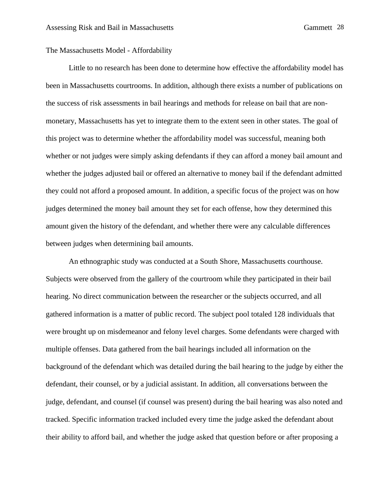## The Massachusetts Model - Affordability

Little to no research has been done to determine how effective the affordability model has been in Massachusetts courtrooms. In addition, although there exists a number of publications on the success of risk assessments in bail hearings and methods for release on bail that are nonmonetary, Massachusetts has yet to integrate them to the extent seen in other states. The goal of this project was to determine whether the affordability model was successful, meaning both whether or not judges were simply asking defendants if they can afford a money bail amount and whether the judges adjusted bail or offered an alternative to money bail if the defendant admitted they could not afford a proposed amount. In addition, a specific focus of the project was on how judges determined the money bail amount they set for each offense, how they determined this amount given the history of the defendant, and whether there were any calculable differences between judges when determining bail amounts.

An ethnographic study was conducted at a South Shore, Massachusetts courthouse. Subjects were observed from the gallery of the courtroom while they participated in their bail hearing. No direct communication between the researcher or the subjects occurred, and all gathered information is a matter of public record. The subject pool totaled 128 individuals that were brought up on misdemeanor and felony level charges. Some defendants were charged with multiple offenses. Data gathered from the bail hearings included all information on the background of the defendant which was detailed during the bail hearing to the judge by either the defendant, their counsel, or by a judicial assistant. In addition, all conversations between the judge, defendant, and counsel (if counsel was present) during the bail hearing was also noted and tracked. Specific information tracked included every time the judge asked the defendant about their ability to afford bail, and whether the judge asked that question before or after proposing a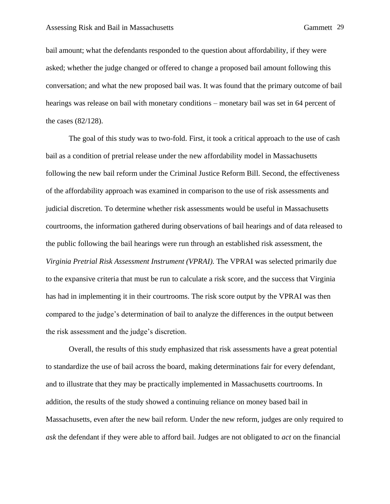bail amount; what the defendants responded to the question about affordability, if they were asked; whether the judge changed or offered to change a proposed bail amount following this conversation; and what the new proposed bail was. It was found that the primary outcome of bail hearings was release on bail with monetary conditions – monetary bail was set in 64 percent of the cases (82/128).

The goal of this study was to two-fold. First, it took a critical approach to the use of cash bail as a condition of pretrial release under the new affordability model in Massachusetts following the new bail reform under the Criminal Justice Reform Bill. Second, the effectiveness of the affordability approach was examined in comparison to the use of risk assessments and judicial discretion. To determine whether risk assessments would be useful in Massachusetts courtrooms, the information gathered during observations of bail hearings and of data released to the public following the bail hearings were run through an established risk assessment, the *Virginia Pretrial Risk Assessment Instrument (VPRAI).* The VPRAI was selected primarily due to the expansive criteria that must be run to calculate a risk score, and the success that Virginia has had in implementing it in their courtrooms. The risk score output by the VPRAI was then compared to the judge's determination of bail to analyze the differences in the output between the risk assessment and the judge's discretion.

Overall, the results of this study emphasized that risk assessments have a great potential to standardize the use of bail across the board, making determinations fair for every defendant, and to illustrate that they may be practically implemented in Massachusetts courtrooms. In addition, the results of the study showed a continuing reliance on money based bail in Massachusetts, even after the new bail reform. Under the new reform, judges are only required to *ask* the defendant if they were able to afford bail. Judges are not obligated to *act* on the financial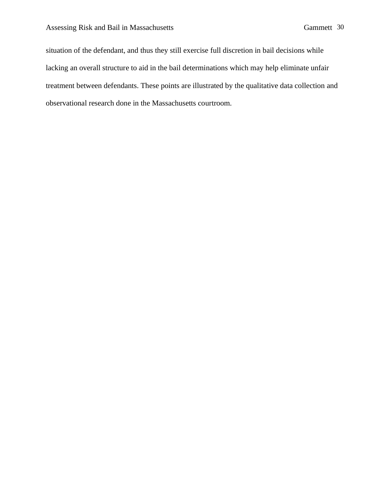situation of the defendant, and thus they still exercise full discretion in bail decisions while lacking an overall structure to aid in the bail determinations which may help eliminate unfair treatment between defendants. These points are illustrated by the qualitative data collection and observational research done in the Massachusetts courtroom.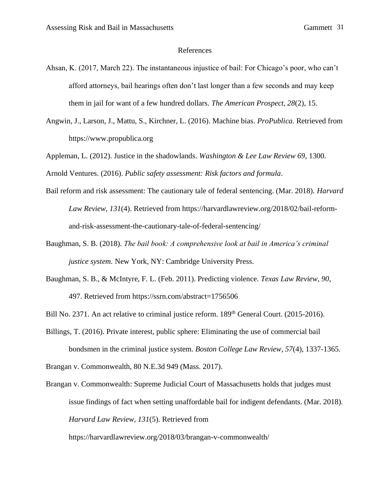#### References

- Ahsan, K. (2017, March 22). The instantaneous injustice of bail: For Chicago's poor, who can't afford attorneys, bail hearings often don't last longer than a few seconds and may keep them in jail for want of a few hundred dollars. *The American Prospect, 28*(2), 15.
- Angwin, J., Larson, J., Mattu, S., Kirchner, L. (2016). Machine bias. *ProPublica.* Retrieved from https://www.propublica.org

Appleman, L. (2012). Justice in the shadowlands. *Washington & Lee Law Review 69*, 1300.

Arnold Ventures. (2016). *Public safety assessment: Risk factors and formula*.

- Bail reform and risk assessment: The cautionary tale of federal sentencing. (Mar. 2018). *Harvard Law Review, 131*(4). Retrieved from https://harvardlawreview.org/2018/02/bail-reformand-risk-assessment-the-cautionary-tale-of-federal-sentencing/
- Baughman, S. B. (2018). *The bail book: A comprehensive look at bail in America's criminal justice system.* New York, NY: Cambridge University Press.
- Baughman, S. B., & McIntyre, F. L. (Feb. 2011). Predicting violence. *Texas Law Review, 90*, 497. Retrieved from https://ssrn.com/abstract=1756506

Bill No. 2371. An act relative to criminal justice reform. 189<sup>th</sup> General Court. (2015-2016).

Billings, T. (2016). Private interest, public sphere: Eliminating the use of commercial bail bondsmen in the criminal justice system. *Boston College Law Review, 57*(4), 1337-1365.

Brangan v. Commonwealth, 80 N.E.3d 949 (Mass. 2017).

Brangan v. Commonwealth: Supreme Judicial Court of Massachusetts holds that judges must issue findings of fact when setting unaffordable bail for indigent defendants. (Mar. 2018). *Harvard Law Review, 131*(5). Retrieved from

https://harvardlawreview.org/2018/03/brangan-v-commonwealth/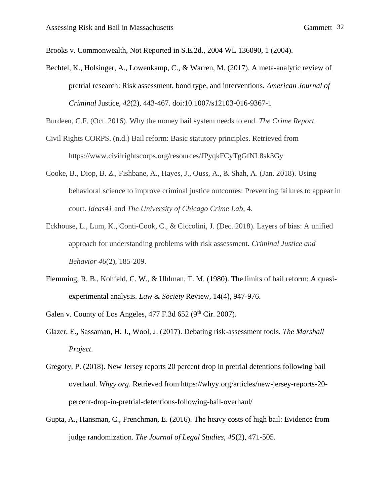Brooks v. Commonwealth, Not Reported in S.E.2d., 2004 WL 136090, 1 (2004).

Bechtel, K., Holsinger, A., Lowenkamp, C., & Warren, M. (2017). A meta-analytic review of pretrial research: Risk assessment, bond type, and interventions. *American Journal of Criminal* Justice, *42*(2), 443-467. doi:10.1007/s12103-016-9367-1

Burdeen, C.F. (Oct. 2016). Why the money bail system needs to end. *The Crime Report*.

- Civil Rights CORPS. (n.d.) Bail reform: Basic statutory principles. Retrieved from https://www.civilrightscorps.org/resources/JPyqkFCyTgGfNL8sk3Gy
- Cooke, B., Diop, B. Z., Fishbane, A., Hayes, J., Ouss, A., & Shah, A. (Jan. 2018). Using behavioral science to improve criminal justice outcomes: Preventing failures to appear in court. *Ideas41* and *The University of Chicago Crime Lab*, 4.
- Eckhouse, L., Lum, K., Conti-Cook, C., & Ciccolini, J. (Dec. 2018). Layers of bias: A unified approach for understanding problems with risk assessment. *Criminal Justice and Behavior 46*(2), 185-209.
- Flemming, R. B., Kohfeld, C. W., & Uhlman, T. M. (1980). The limits of bail reform: A quasiexperimental analysis. *Law & Society* Review, 14(4), 947-976.

Galen v. County of Los Angeles,  $477$  F.3d  $652$  (9<sup>th</sup> Cir. 2007).

- Glazer, E., Sassaman, H. J., Wool, J. (2017). Debating risk-assessment tools. *The Marshall Project*.
- Gregory, P. (2018). New Jersey reports 20 percent drop in pretrial detentions following bail overhaul. *Whyy.org*. Retrieved from https://whyy.org/articles/new-jersey-reports-20 percent-drop-in-pretrial-detentions-following-bail-overhaul/
- Gupta, A., Hansman, C., Frenchman, E. (2016). The heavy costs of high bail: Evidence from judge randomization. *The Journal of Legal Studies, 45*(2), 471-505.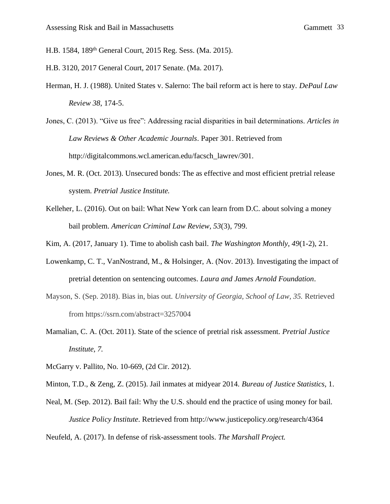- H.B. 1584, 189th General Court, 2015 Reg. Sess. (Ma. 2015).
- H.B. 3120, 2017 General Court, 2017 Senate. (Ma. 2017).
- Herman, H. J. (1988). United States v. Salerno: The bail reform act is here to stay. *DePaul Law Review 38*, 174-5.
- Jones, C. (2013). "Give us free": Addressing racial disparities in bail determinations. *Articles in Law Reviews & Other Academic Journals*. Paper 301. Retrieved from http://digitalcommons.wcl.american.edu/facsch\_lawrev/301.
- Jones, M. R. (Oct. 2013). Unsecured bonds: The as effective and most efficient pretrial release system. *Pretrial Justice Institute.*
- Kelleher, L. (2016). Out on bail: What New York can learn from D.C. about solving a money bail problem. *American Criminal Law Review, 53*(3), 799.
- Kim, A. (2017, January 1). Time to abolish cash bail. *The Washington Monthly*, *49*(1-2), 21.
- Lowenkamp, C. T., VanNostrand, M., & Holsinger, A. (Nov. 2013). Investigating the impact of pretrial detention on sentencing outcomes. *Laura and James Arnold Foundation*.
- Mayson, S. (Sep. 2018). Bias in, bias out. *University of Georgia, School of Law, 35.* Retrieved from https://ssrn.com/abstract=3257004
- Mamalian, C. A. (Oct. 2011). State of the science of pretrial risk assessment. *Pretrial Justice Institute, 7.*
- McGarry v. Pallito, No. 10-669, (2d Cir. 2012).
- Minton, T.D., & Zeng, Z. (2015). Jail inmates at midyear 2014. *Bureau of Justice Statistics,* 1.
- Neal, M. (Sep. 2012). Bail fail: Why the U.S. should end the practice of using money for bail. *Justice Policy Institute*. Retrieved from http://www.justicepolicy.org/research/4364

Neufeld, A. (2017). In defense of risk-assessment tools. *The Marshall Project.*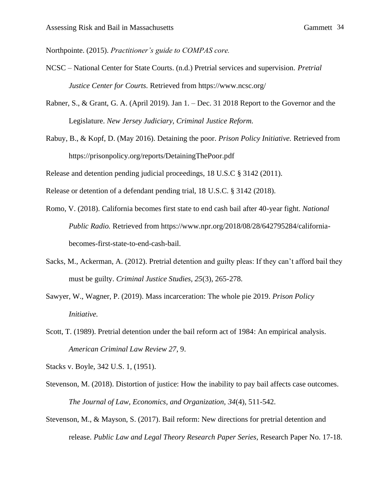Northpointe. (2015). *Practitioner's guide to COMPAS core.*

- NCSC National Center for State Courts. (n.d.) Pretrial services and supervision. *Pretrial Justice Center for Courts.* Retrieved from https://www.ncsc.org/
- Rabner, S., & Grant, G. A. (April 2019). Jan 1. Dec. 31 2018 Report to the Governor and the Legislature. *New Jersey Judiciary, Criminal Justice Reform.*
- Rabuy, B., & Kopf, D. (May 2016). Detaining the poor. *Prison Policy Initiative.* Retrieved from https://prisonpolicy.org/reports/DetainingThePoor.pdf

Release and detention pending judicial proceedings, 18 U.S.C § 3142 (2011).

Release or detention of a defendant pending trial, 18 U.S.C. § 3142 (2018).

- Romo, V. (2018). California becomes first state to end cash bail after 40-year fight. *National Public Radio.* Retrieved from https://www.npr.org/2018/08/28/642795284/californiabecomes-first-state-to-end-cash-bail.
- Sacks, M., Ackerman, A. (2012). Pretrial detention and guilty pleas: If they can't afford bail they must be guilty. *Criminal Justice Studies, 25*(3), 265-278.
- Sawyer, W., Wagner, P. (2019). Mass incarceration: The whole pie 2019. *Prison Policy Initiative.*
- Scott, T. (1989). Pretrial detention under the bail reform act of 1984: An empirical analysis. *American Criminal Law Review 27*, 9.

Stacks v. Boyle, 342 U.S. 1, (1951).

- Stevenson, M. (2018). Distortion of justice: How the inability to pay bail affects case outcomes. *The Journal of Law, Economics, and Organization, 34*(4), 511-542.
- Stevenson, M., & Mayson, S. (2017). Bail reform: New directions for pretrial detention and release. *Public Law and Legal Theory Research Paper Series,* Research Paper No. 17-18.